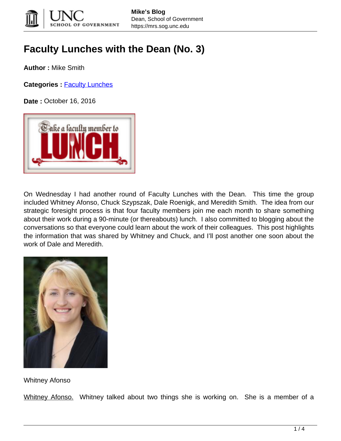

## **Faculty Lunches with the Dean (No. 3)**

**Author :** Mike Smith

Categories : [Faculty Lunches](https://mrs.sog.unc.edu/category/faculty-lunches/)

**Date :** October 16, 2016



On Wednesday I had another round of Faculty Lunches with the Dean. This time the group included Whitney Afonso, Chuck Szypszak, Dale Roenigk, and Meredith Smith. The idea from our strategic foresight process is that four faculty members join me each month to share something about their work during a 90-minute (or thereabouts) lunch. I also committed to blogging about the conversations so that everyone could learn about the work of their colleagues. This post highlights the information that was shared by Whitney and Chuck, and I'll post another one soon about the work of Dale and Meredith.



Whitney Afonso

Whitney Afonso. Whitney talked about two things she is working on. She is a member of a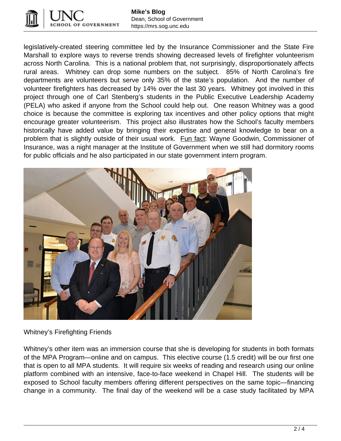

legislatively-created steering committee led by the Insurance Commissioner and the State Fire Marshall to explore ways to reverse trends showing decreased levels of firefighter volunteerism across North Carolina. This is a national problem that, not surprisingly, disproportionately affects rural areas. Whitney can drop some numbers on the subject. 85% of North Carolina's fire departments are volunteers but serve only 35% of the state's population. And the number of volunteer firefighters has decreased by 14% over the last 30 years. Whitney got involved in this project through one of Carl Stenberg's students in the Public Executive Leadership Academy (PELA) who asked if anyone from the School could help out. One reason Whitney was a good choice is because the committee is exploring tax incentives and other policy options that might encourage greater volunteerism. This project also illustrates how the School's faculty members historically have added value by bringing their expertise and general knowledge to bear on a problem that is slightly outside of their usual work. Fun fact: Wayne Goodwin, Commissioner of Insurance, was a night manager at the Institute of Government when we still had dormitory rooms for public officials and he also participated in our state government intern program.



## Whitney's Firefighting Friends

Whitney's other item was an immersion course that she is developing for students in both formats of the MPA Program—online and on campus. This elective course (1.5 credit) will be our first one that is open to all MPA students. It will require six weeks of reading and research using our online platform combined with an intensive, face-to-face weekend in Chapel Hill. The students will be exposed to School faculty members offering different perspectives on the same topic—financing change in a community. The final day of the weekend will be a case study facilitated by MPA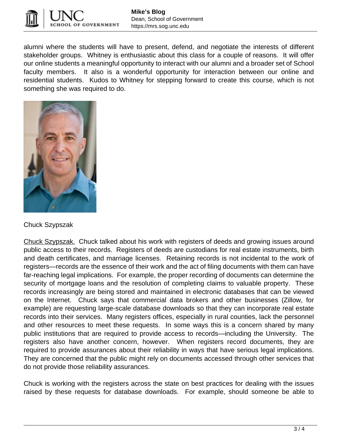

alumni where the students will have to present, defend, and negotiate the interests of different stakeholder groups. Whitney is enthusiastic about this class for a couple of reasons. It will offer our online students a meaningful opportunity to interact with our alumni and a broader set of School faculty members. It also is a wonderful opportunity for interaction between our online and residential students. Kudos to Whitney for stepping forward to create this course, which is not something she was required to do.



Chuck Szypszak

Chuck Szypszak. Chuck talked about his work with registers of deeds and growing issues around public access to their records. Registers of deeds are custodians for real estate instruments, birth and death certificates, and marriage licenses. Retaining records is not incidental to the work of registers—records are the essence of their work and the act of filing documents with them can have far-reaching legal implications. For example, the proper recording of documents can determine the security of mortgage loans and the resolution of completing claims to valuable property. These records increasingly are being stored and maintained in electronic databases that can be viewed on the Internet. Chuck says that commercial data brokers and other businesses (Zillow, for example) are requesting large-scale database downloads so that they can incorporate real estate records into their services. Many registers offices, especially in rural counties, lack the personnel and other resources to meet these requests. In some ways this is a concern shared by many public institutions that are required to provide access to records—including the University. The registers also have another concern, however. When registers record documents, they are required to provide assurances about their reliability in ways that have serious legal implications. They are concerned that the public might rely on documents accessed through other services that do not provide those reliability assurances.

Chuck is working with the registers across the state on best practices for dealing with the issues raised by these requests for database downloads. For example, should someone be able to